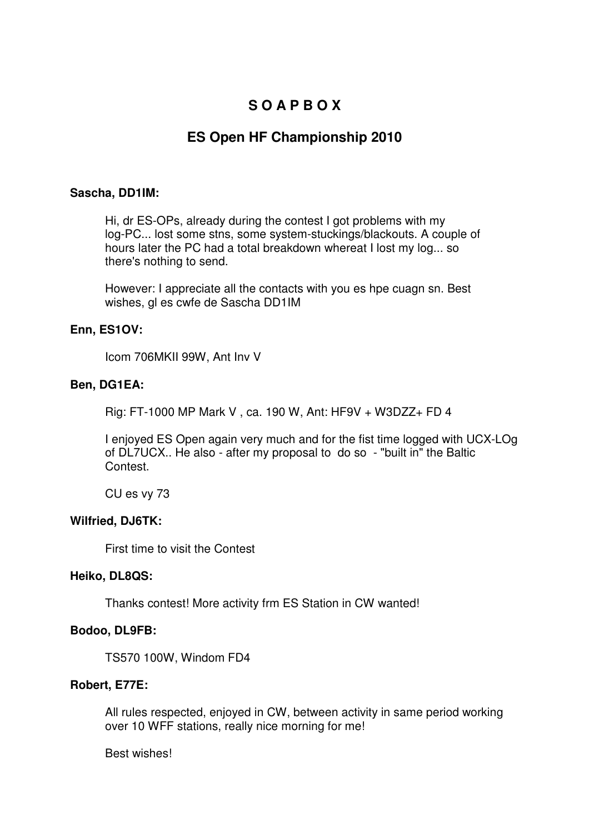# **S O A P B O X**

# **ES Open HF Championship 2010**

## **Sascha, DD1IM:**

Hi, dr ES-OPs, already during the contest I got problems with my log-PC... lost some stns, some system-stuckings/blackouts. A couple of hours later the PC had a total breakdown whereat I lost my log... so there's nothing to send.

However: I appreciate all the contacts with you es hpe cuagn sn. Best wishes, gl es cwfe de Sascha DD1IM

# **Enn, ES1OV:**

Icom 706MKII 99W, Ant Inv V

# **Ben, DG1EA:**

Rig: FT-1000 MP Mark V , ca. 190 W, Ant: HF9V + W3DZZ+ FD 4

I enjoyed ES Open again very much and for the fist time logged with UCX-LOg of DL7UCX.. He also - after my proposal to do so - "built in" the Baltic Contest.

CU es vy 73

# **Wilfried, DJ6TK:**

First time to visit the Contest

#### **Heiko, DL8QS:**

Thanks contest! More activity frm ES Station in CW wanted!

# **Bodoo, DL9FB:**

TS570 100W, Windom FD4

# **Robert, E77E:**

All rules respected, enjoyed in CW, between activity in same period working over 10 WFF stations, really nice morning for me!

Best wishes!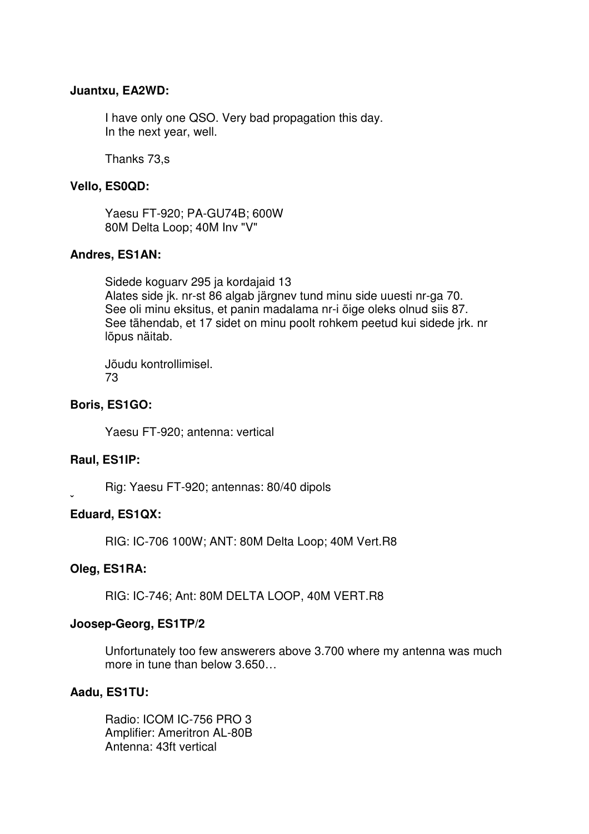### **Juantxu, EA2WD:**

I have only one QSO. Very bad propagation this day. In the next year, well.

Thanks 73,s

# **Vello, ES0QD:**

Yaesu FT-920; PA-GU74B; 600W 80M Delta Loop; 40M Inv "V"

### **Andres, ES1AN:**

Sidede koguarv 295 ja kordajaid 13 Alates side jk. nr-st 86 algab järgnev tund minu side uuesti nr-ga 70. See oli minu eksitus, et panin madalama nr-i õige oleks olnud siis 87. See tähendab, et 17 sidet on minu poolt rohkem peetud kui sidede jrk. nr lõpus näitab.

Jõudu kontrollimisel. 73

### **Boris, ES1GO:**

Yaesu FT-920; antenna: vertical

#### **Raul, ES1IP:**

**ˇ** 

Rig: Yaesu FT-920; antennas: 80/40 dipols

#### **Eduard, ES1QX:**

RIG: IC-706 100W; ANT: 80M Delta Loop; 40M Vert.R8

#### **Oleg, ES1RA:**

RIG: IC-746; Ant: 80M DELTA LOOP, 40M VERT.R8

#### **Joosep-Georg, ES1TP/2**

Unfortunately too few answerers above 3.700 where my antenna was much more in tune than below 3.650…

## **Aadu, ES1TU:**

Radio: ICOM IC-756 PRO 3 Amplifier: Ameritron AL-80B Antenna: 43ft vertical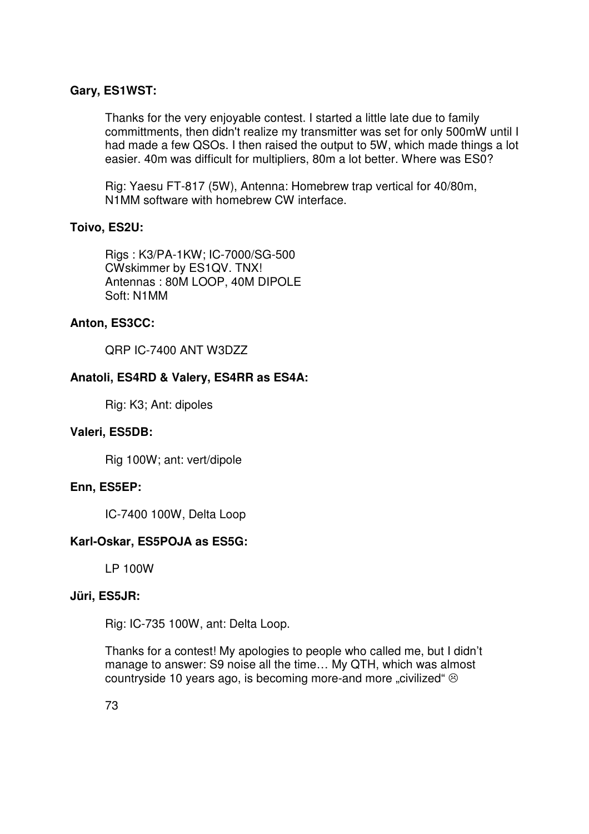# **Gary, ES1WST:**

Thanks for the very enjoyable contest. I started a little late due to family committments, then didn't realize my transmitter was set for only 500mW until I had made a few QSOs. I then raised the output to 5W, which made things a lot easier. 40m was difficult for multipliers, 80m a lot better. Where was ES0?

Rig: Yaesu FT-817 (5W), Antenna: Homebrew trap vertical for 40/80m, N1MM software with homebrew CW interface.

# **Toivo, ES2U:**

Rigs : K3/PA-1KW; IC-7000/SG-500 CWskimmer by ES1QV. TNX! Antennas : 80M LOOP, 40M DIPOLE Soft: N1MM

# **Anton, ES3CC:**

QRP IC-7400 ANT W3DZZ

# **Anatoli, ES4RD & Valery, ES4RR as ES4A:**

Rig: K3; Ant: dipoles

# **Valeri, ES5DB:**

Rig 100W; ant: vert/dipole

# **Enn, ES5EP:**

IC-7400 100W, Delta Loop

# **Karl-Oskar, ES5POJA as ES5G:**

LP 100W

# **Jüri, ES5JR:**

Rig: IC-735 100W, ant: Delta Loop.

Thanks for a contest! My apologies to people who called me, but I didn't manage to answer: S9 noise all the time… My QTH, which was almost countryside 10 years ago, is becoming more-and more "civilized"  $\odot$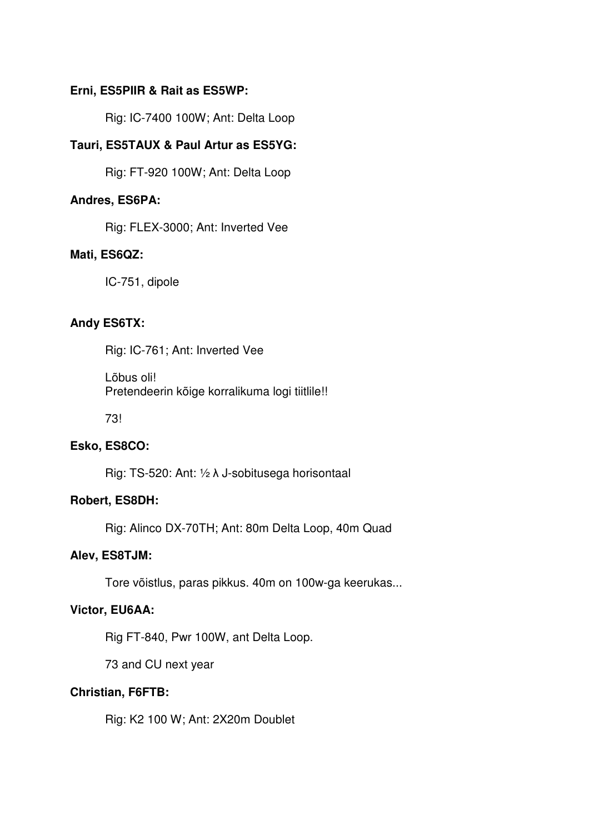# **Erni, ES5PIIR & Rait as ES5WP:**

Rig: IC-7400 100W; Ant: Delta Loop

# **Tauri, ES5TAUX & Paul Artur as ES5YG:**

Rig: FT-920 100W; Ant: Delta Loop

#### **Andres, ES6PA:**

Rig: FLEX-3000; Ant: Inverted Vee

#### **Mati, ES6QZ:**

IC-751, dipole

## **Andy ES6TX:**

Rig: IC-761; Ant: Inverted Vee

Lõbus oli! Pretendeerin kõige korralikuma logi tiitlile!!

73!

#### **Esko, ES8CO:**

Rig: TS-520: Ant: ½ λ J-sobitusega horisontaal

#### **Robert, ES8DH:**

Rig: Alinco DX-70TH; Ant: 80m Delta Loop, 40m Quad

#### **Alev, ES8TJM:**

Tore võistlus, paras pikkus. 40m on 100w-ga keerukas...

## **Victor, EU6AA:**

Rig FT-840, Pwr 100W, ant Delta Loop.

73 and CU next year

### **Christian, F6FTB:**

Rig: K2 100 W; Ant: 2X20m Doublet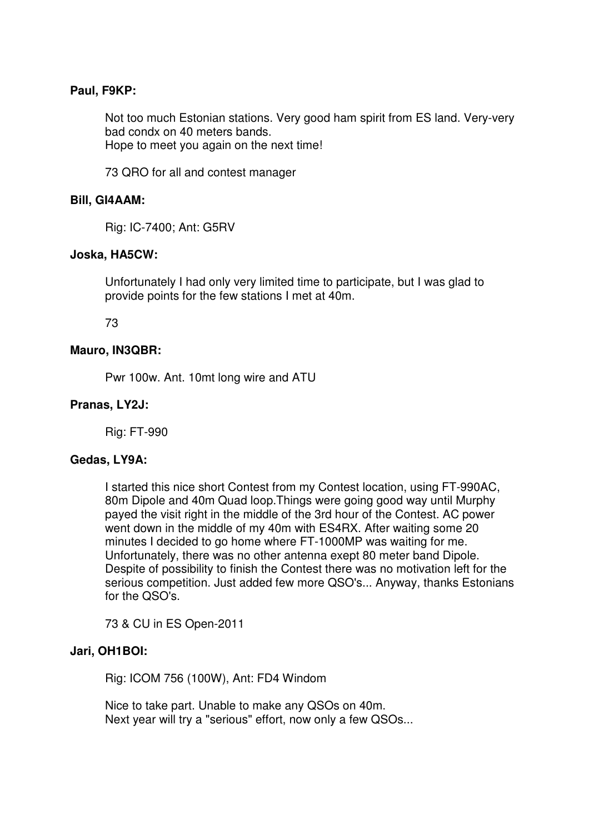# **Paul, F9KP:**

Not too much Estonian stations. Very good ham spirit from ES land. Very-very bad condx on 40 meters bands. Hope to meet you again on the next time!

73 QRO for all and contest manager

## **Bill, GI4AAM:**

Rig: IC-7400; Ant: G5RV

### **Joska, HA5CW:**

Unfortunately I had only very limited time to participate, but I was glad to provide points for the few stations I met at 40m.

### 73

### **Mauro, IN3QBR:**

Pwr 100w. Ant. 10mt long wire and ATU

# **Pranas, LY2J:**

Rig: FT-990

#### **Gedas, LY9A:**

I started this nice short Contest from my Contest location, using FT-990AC, 80m Dipole and 40m Quad loop.Things were going good way until Murphy payed the visit right in the middle of the 3rd hour of the Contest. AC power went down in the middle of my 40m with ES4RX. After waiting some 20 minutes I decided to go home where FT-1000MP was waiting for me. Unfortunately, there was no other antenna exept 80 meter band Dipole. Despite of possibility to finish the Contest there was no motivation left for the serious competition. Just added few more QSO's... Anyway, thanks Estonians for the QSO's.

73 & CU in ES Open-2011

#### **Jari, OH1BOI:**

Rig: ICOM 756 (100W), Ant: FD4 Windom

Nice to take part. Unable to make any QSOs on 40m. Next year will try a "serious" effort, now only a few QSOs...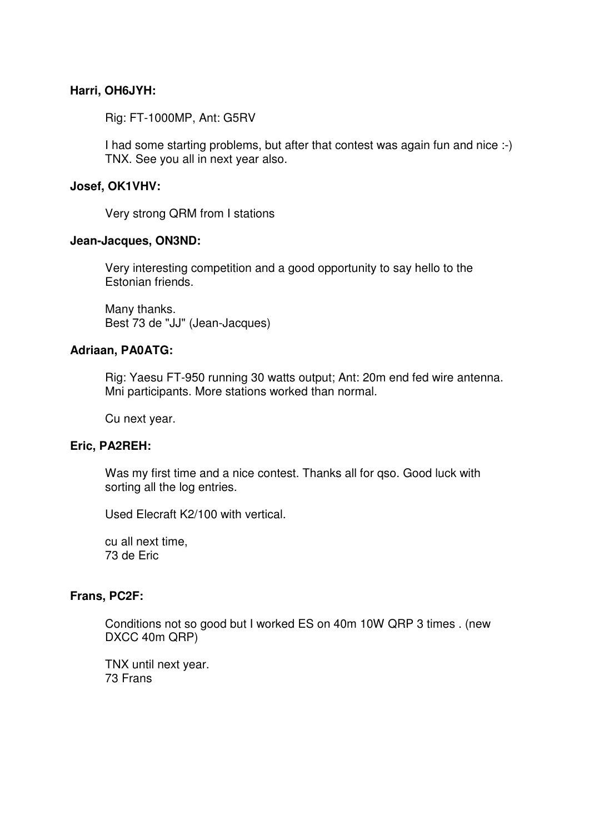# **Harri, OH6JYH:**

Rig: FT-1000MP, Ant: G5RV

I had some starting problems, but after that contest was again fun and nice :-) TNX. See you all in next year also.

## **Josef, OK1VHV:**

Very strong QRM from I stations

### **Jean-Jacques, ON3ND:**

Very interesting competition and a good opportunity to say hello to the Estonian friends.

Many thanks. Best 73 de "JJ" (Jean-Jacques)

### **Adriaan, PA0ATG:**

Rig: Yaesu FT-950 running 30 watts output; Ant: 20m end fed wire antenna. Mni participants. More stations worked than normal.

Cu next year.

# **Eric, PA2REH:**

Was my first time and a nice contest. Thanks all for qso. Good luck with sorting all the log entries.

Used Elecraft K2/100 with vertical.

cu all next time, 73 de Eric

### **Frans, PC2F:**

Conditions not so good but I worked ES on 40m 10W QRP 3 times . (new DXCC 40m QRP)

TNX until next year. 73 Frans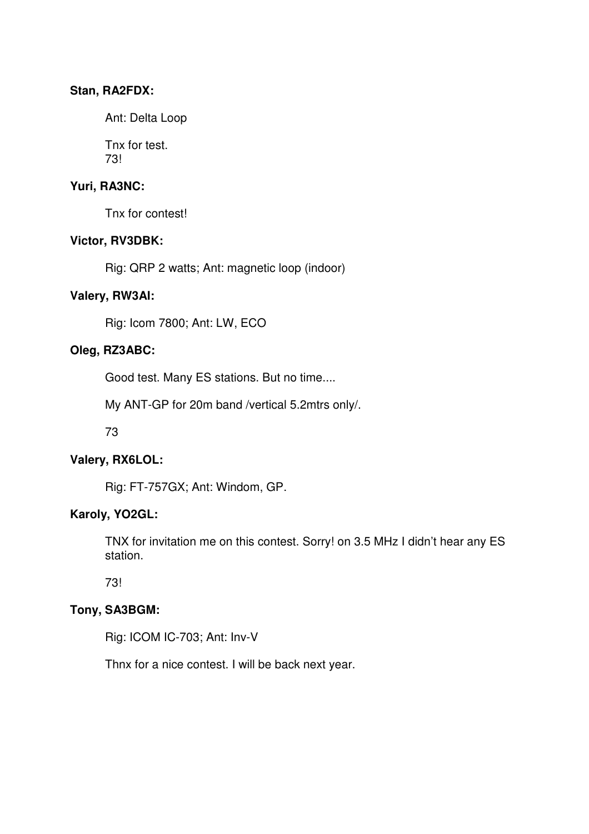# **Stan, RA2FDX:**

Ant: Delta Loop

Tnx for test. 73!

# **Yuri, RA3NC:**

Tnx for contest!

# **Victor, RV3DBK:**

Rig: QRP 2 watts; Ant: magnetic loop (indoor)

# **Valery, RW3AI:**

Rig: Icom 7800; Ant: LW, ECO

# **Oleg, RZ3ABC:**

Good test. Many ES stations. But no time....

My ANT-GP for 20m band /vertical 5.2mtrs only/.

73

# **Valery, RX6LOL:**

Rig: FT-757GX; Ant: Windom, GP.

# **Karoly, YO2GL:**

TNX for invitation me on this contest. Sorry! on 3.5 MHz I didn't hear any ES station.

73!

# **Tony, SA3BGM:**

Rig: ICOM IC-703; Ant: Inv-V

Thnx for a nice contest. I will be back next year.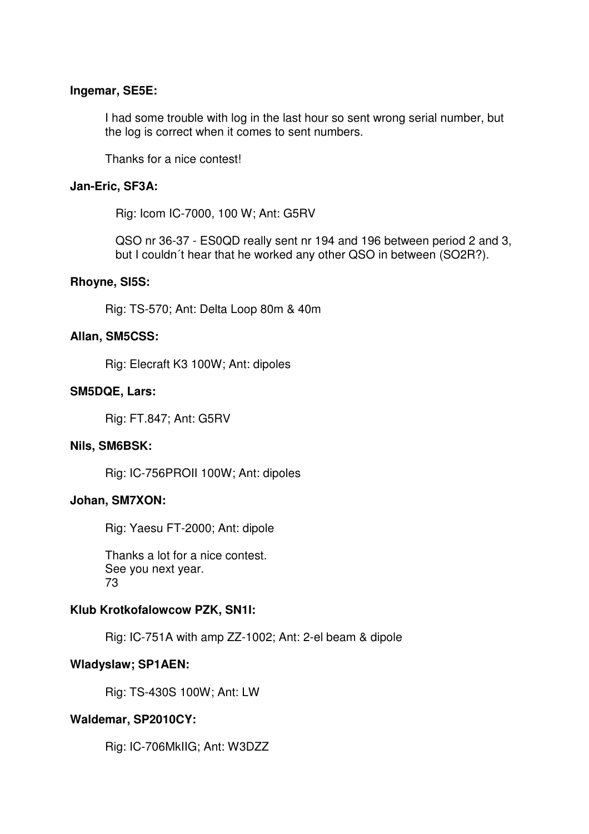#### **Ingemar, SE5E:**

I had some trouble with log in the last hour so sent wrong serial number, but the log is correct when it comes to sent numbers.

Thanks for a nice contest!

## **Jan-Eric, SF3A:**

Rig: Icom IC-7000, 100 W; Ant: G5RV

QSO nr 36-37 - ES0QD really sent nr 194 and 196 between period 2 and 3, but I couldn´t hear that he worked any other QSO in between (SO2R?).

### **Rhoyne, SI5S:**

Rig: TS-570; Ant: Delta Loop 80m & 40m

### **Allan, SM5CSS:**

Rig: Elecraft K3 100W; Ant: dipoles

### **SM5DQE, Lars:**

Rig: FT.847; Ant: G5RV

#### **Nils, SM6BSK:**

Rig: IC-756PROII 100W; Ant: dipoles

#### **Johan, SM7XON:**

Rig: Yaesu FT-2000; Ant: dipole

Thanks a lot for a nice contest. See you next year. 73

# **Klub Krotkofalowcow PZK, SN1I:**

Rig: IC-751A with amp ZZ-1002; Ant: 2-el beam & dipole

#### **Wladyslaw; SP1AEN:**

Rig: TS-430S 100W; Ant: LW

#### **Waldemar, SP2010CY:**

Rig: IC-706MkIIG; Ant: W3DZZ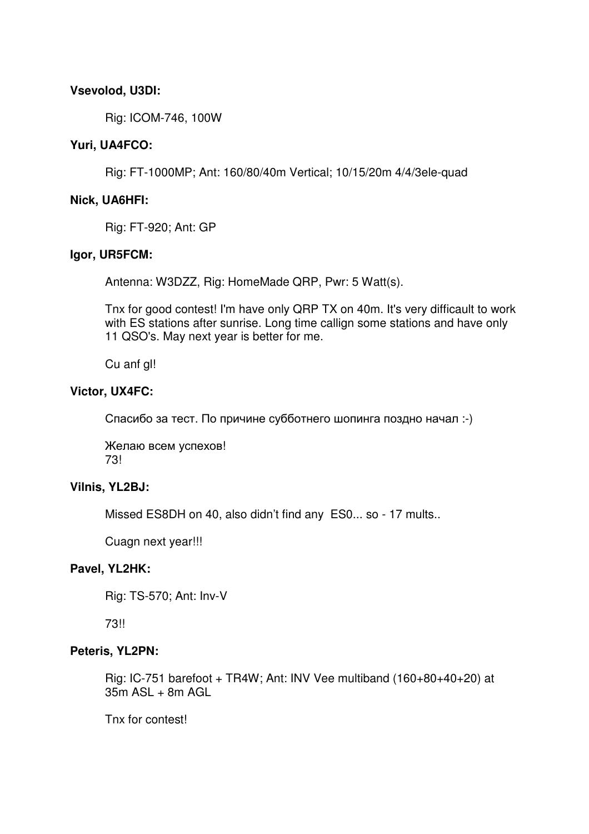# **Vsevolod, U3DI:**

Rig: ICOM-746, 100W

# **Yuri, UA4FCO:**

Rig: FT-1000MP; Ant: 160/80/40m Vertical; 10/15/20m 4/4/3ele-quad

# **Nick, UA6HFI:**

Rig: FT-920; Ant: GP

# **Igor, UR5FCM:**

Antenna: W3DZZ, Rig: HomeMade QRP, Pwr: 5 Watt(s).

Tnx for good contest! I'm have only QRP TX on 40m. It's very difficault to work with ES stations after sunrise. Long time callign some stations and have only 11 QSO's. May next year is better for me.

Cu anf gl!

# **Victor, UX4FC:**

Спасибо за тест. По причине субботнего шопинга поздно начал :-)

Желаю всем успехов! 73!

# **Vilnis, YL2BJ:**

Missed ES8DH on 40, also didn't find any ES0... so - 17 mults..

Cuagn next year!!!

# **Pavel, YL2HK:**

Rig: TS-570; Ant: Inv-V

73!!

#### **Peteris, YL2PN:**

Rig: IC-751 barefoot + TR4W; Ant: INV Vee multiband  $(160+80+40+20)$  at  $35m$  ASL  $+$  8m AGL

Tnx for contest!